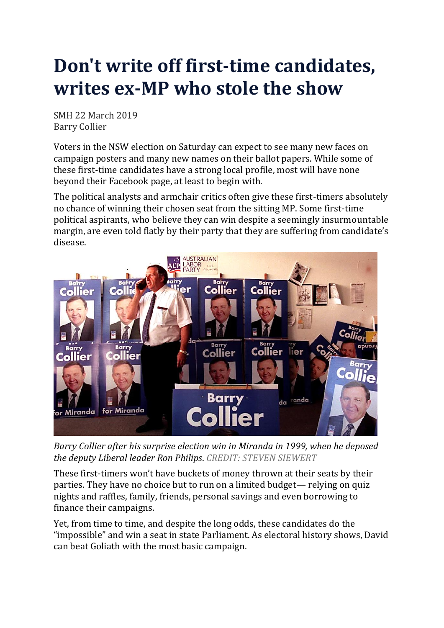## **Don't write off first-time candidates, writes ex-MP who stole the show**

SMH 22 March 2019 Barry Collier

Voters in the NSW election on Saturday can expect to see many new faces on campaign posters and many new names on their ballot papers. While some of these first-time candidates have a strong local profile, most will have none beyond their Facebook page, at least to begin with.

The political analysts and armchair critics often give these first-timers absolutely no chance of winning their chosen seat from the sitting MP. Some first-time political aspirants, who believe they can win despite a seemingly insurmountable margin, are even told flatly by their party that they are suffering from candidate's disease.



*Barry Collier after his surprise election win in Miranda in 1999, when he deposed the deputy Liberal leader Ron Philips*. *CREDIT: STEVEN SIEWERT*

These first-timers won't have buckets of money thrown at their seats by their parties. They have no choice but to run on a limited budget— relying on quiz nights and raffles, family, friends, personal savings and even borrowing to finance their campaigns.

Yet, from time to time, and despite the long odds, these candidates do the "impossible" and win a seat in state Parliament. As electoral history shows, David can beat Goliath with the most basic campaign.